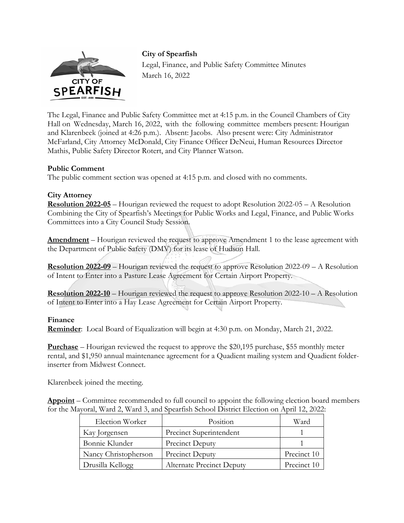

**City of Spearfish**  Legal, Finance, and Public Safety Committee Minutes March 16, 2022

The Legal, Finance and Public Safety Committee met at 4:15 p.m. in the Council Chambers of City Hall on Wednesday, March 16, 2022, with the following committee members present: Hourigan and Klarenbeek (joined at 4:26 p.m.). Absent: Jacobs. Also present were: City Administrator McFarland, City Attorney McDonald, City Finance Officer DeNeui, Human Resources Director Mathis, Public Safety Director Rotert, and City Planner Watson.

### **Public Comment**

The public comment section was opened at 4:15 p.m. and closed with no comments.

### **City Attorney**

**Resolution 2022-05** – Hourigan reviewed the request to adopt Resolution 2022-05 – A Resolution Combining the City of Spearfish's Meetings for Public Works and Legal, Finance, and Public Works Committees into a City Council Study Session.

**Amendment** – Hourigan reviewed the request to approve Amendment 1 to the lease agreement with the Department of Public Safety (DMV) for its lease of Hudson Hall.

**Resolution 2022-09** – Hourigan reviewed the request to approve Resolution 2022-09 – A Resolution of Intent to Enter into a Pasture Lease Agreement for Certain Airport Property.

**Resolution 2022-10** – Hourigan reviewed the request to approve Resolution 2022-10 – A Resolution of Intent to Enter into a Hay Lease Agreement for Certain Airport Property.

#### **Finance**

**Reminder**: Local Board of Equalization will begin at 4:30 p.m. on Monday, March 21, 2022.

**Purchase** – Hourigan reviewed the request to approve the \$20,195 purchase, \$55 monthly meter rental, and \$1,950 annual maintenance agreement for a Quadient mailing system and Quadient folderinserter from Midwest Connect.

Klarenbeek joined the meeting.

**Appoint** – Committee recommended to full council to appoint the following election board members for the Mayoral, Ward 2, Ward 3, and Spearfish School District Election on April 12, 2022:

| Election Worker      | Position                         | Ward        |
|----------------------|----------------------------------|-------------|
| Kay Jorgensen        | Precinct Superintendent          |             |
| Bonnie Klunder       | Precinct Deputy                  |             |
| Nancy Christopherson | Precinct Deputy                  | Precinct 10 |
| Drusilla Kellogg     | <b>Alternate Precinct Deputy</b> | Precinct 10 |